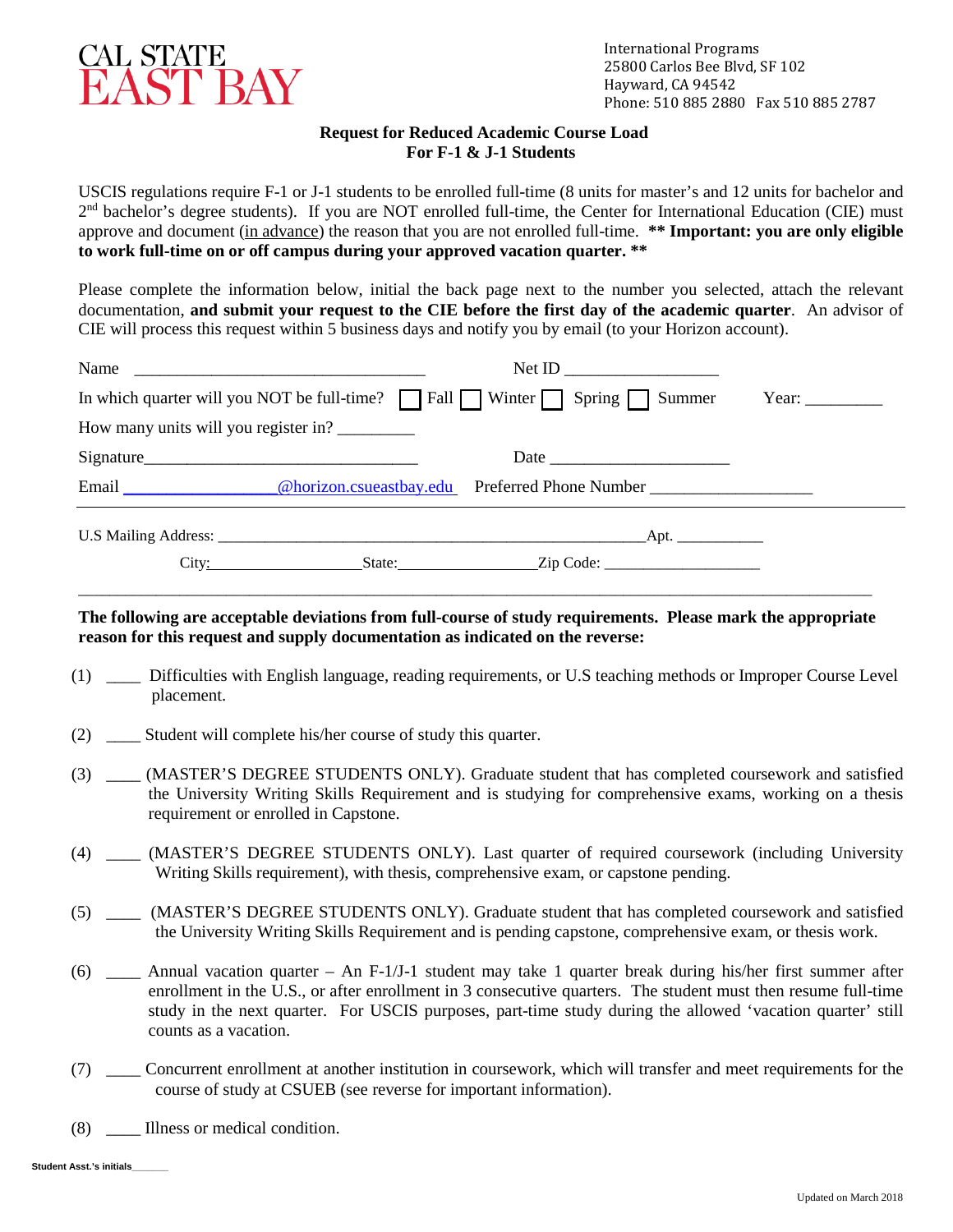

## **Request for Reduced Academic Course Load For F-1 & J-1 Students**

USCIS regulations require F-1 or J-1 students to be enrolled full-time (8 units for master's and 12 units for bachelor and 2<sup>nd</sup> bachelor's degree students). If you are NOT enrolled full-time, the Center for International Education (CIE) must approve and document (in advance) the reason that you are not enrolled full-time. **\*\* Important: you are only eligible to work full-time on or off campus during your approved vacation quarter. \*\***

Please complete the information below, initial the back page next to the number you selected, attach the relevant documentation, **and submit your request to the CIE before the first day of the academic quarter**. An advisor of CIE will process this request within 5 business days and notify you by email (to your Horizon account).

| Name                                                                                                                                                                                                                          |  |      |                                         |
|-------------------------------------------------------------------------------------------------------------------------------------------------------------------------------------------------------------------------------|--|------|-----------------------------------------|
| In which quarter will you NOT be full-time? $\Box$ Fall $\Box$ Winter $\Box$ Spring $\Box$ Summer                                                                                                                             |  |      | Year: $\frac{\phantom{1}}{\phantom{1}}$ |
| How many units will you register in?                                                                                                                                                                                          |  |      |                                         |
| Signature                                                                                                                                                                                                                     |  | Date |                                         |
| Email Charles Charles Charles Charles Charles Charles Charles Charles Charles Charles Charles Charles Charles Charles Charles Charles Charles Charles Charles Charles Charles Charles Charles Charles Charles Charles Charles |  |      |                                         |
|                                                                                                                                                                                                                               |  |      |                                         |
| City:                                                                                                                                                                                                                         |  |      |                                         |

## **The following are acceptable deviations from full-course of study requirements. Please mark the appropriate reason for this request and supply documentation as indicated on the reverse:**

\_\_\_\_\_\_\_\_\_\_\_\_\_\_\_\_\_\_\_\_\_\_\_\_\_\_\_\_\_\_\_\_\_\_\_\_\_\_\_\_\_\_\_\_\_\_\_\_\_\_\_\_\_\_\_\_\_\_\_\_\_\_\_\_\_\_\_\_\_\_\_\_\_\_\_\_\_\_\_\_\_\_\_\_\_\_\_\_\_\_\_\_\_\_\_\_\_\_\_\_\_\_

- (1) \_\_\_\_ Difficulties with English language, reading requirements, or U.S teaching methods or Improper Course Level placement.
- (2) \_\_\_\_ Student will complete his/her course of study this quarter.
- (3) \_\_\_\_ (MASTER'S DEGREE STUDENTS ONLY). Graduate student that has completed coursework and satisfied the University Writing Skills Requirement and is studying for comprehensive exams, working on a thesis requirement or enrolled in Capstone.
- (4) \_\_\_\_ (MASTER'S DEGREE STUDENTS ONLY). Last quarter of required coursework (including University Writing Skills requirement), with thesis, comprehensive exam, or capstone pending.
- (5) \_\_\_\_ (MASTER'S DEGREE STUDENTS ONLY). Graduate student that has completed coursework and satisfied the University Writing Skills Requirement and is pending capstone, comprehensive exam, or thesis work.
- (6) \_\_\_\_ Annual vacation quarter An F-1/J-1 student may take 1 quarter break during his/her first summer after enrollment in the U.S., or after enrollment in 3 consecutive quarters. The student must then resume full-time study in the next quarter. For USCIS purposes, part-time study during the allowed 'vacation quarter' still counts as a vacation.
- (7) \_\_\_\_ Concurrent enrollment at another institution in coursework, which will transfer and meet requirements for the course of study at CSUEB (see reverse for important information).
- (8) \_\_\_\_ Illness or medical condition.